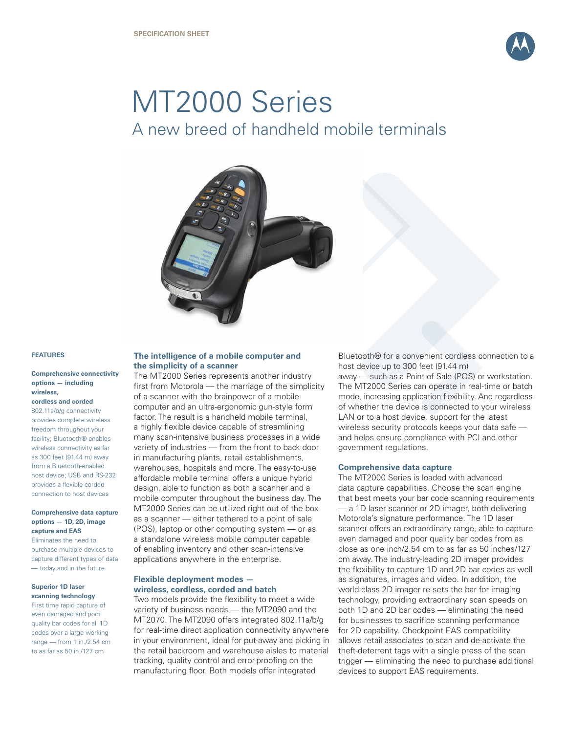

# MT2000 Series A new breed of handheld mobile terminals



#### **FEATURES**

#### **Comprehensive connectivity options — including wireless,**

#### **cordless and corded**

802.11a/b/g connectivity provides complete wireless freedom throughout your facility; Bluetooth® enables wireless connectivity as far as 300 feet (91.44 m) away from a Bluetooth-enabled host device; USB and RS-232 provides a flexible corded connection to host devices

#### **Comprehensive data capture options — 1D, 2D, image capture and EAS**

Eliminates the need to purchase multiple devices to capture different types of data — today and in the future

# **Superior 1D laser scanning technology**

First time rapid capture of even damaged and poor quality bar codes for all 1D codes over a large working range — from 1 in./2.54 cm to as far as 50 in./127 cm

# **The intelligence of a mobile computer and the simplicity of a scanner**

The MT2000 Series represents another industry first from Motorola — the marriage of the simplicity of a scanner with the brainpower of a mobile computer and an ultra-ergonomic gun-style form factor. The result is a handheld mobile terminal, a highly flexible device capable of streamlining many scan-intensive business processes in a wide variety of industries — from the front to back door in manufacturing plants, retail establishments, warehouses, hospitals and more. The easy-to-use affordable mobile terminal offers a unique hybrid design, able to function as both a scanner and a mobile computer throughout the business day. The MT2000 Series can be utilized right out of the box as a scanner — either tethered to a point of sale (POS), laptop or other computing system — or as a standalone wireless mobile computer capable of enabling inventory and other scan-intensive applications anywhere in the enterprise.

### **Flexible deployment modes wireless, cordless, corded and batch**

Two models provide the flexibility to meet a wide variety of business needs — the MT2090 and the MT2070. The MT2090 offers integrated 802.11a/b/g for real-time direct application connectivity anywhere in your environment, ideal for put-away and picking in the retail backroom and warehouse aisles to material tracking, quality control and error-proofing on the manufacturing floor. Both models offer integrated

Bluetooth® for a convenient cordless connection to a host device up to 300 feet (91.44 m) away — such as a Point-of-Sale (POS) or workstation. The MT2000 Series can operate in real-time or batch mode, increasing application flexibility. And regardless of whether the device is connected to your wireless LAN or to a host device, support for the latest wireless security protocols keeps your data safe and helps ensure compliance with PCI and other

#### **Comprehensive data capture**

government regulations.

The MT2000 Series is loaded with advanced data capture capabilities. Choose the scan engine that best meets your bar code scanning requirements — a 1D laser scanner or 2D imager, both delivering Motorola's signature performance. The 1D laser scanner offers an extraordinary range, able to capture even damaged and poor quality bar codes from as close as one inch/2.54 cm to as far as 50 inches/127 cm away. The industry-leading 2D imager provides the flexibility to capture 1D and 2D bar codes as well as signatures, images and video. In addition, the world-class 2D imager re-sets the bar for imaging technology, providing extraordinary scan speeds on both 1D and 2D bar codes — eliminating the need for businesses to sacrifice scanning performance for 2D capability. Checkpoint EAS compatibility allows retail associates to scan and de-activate the theft-deterrent tags with a single press of the scan trigger — eliminating the need to purchase additional devices to support EAS requirements.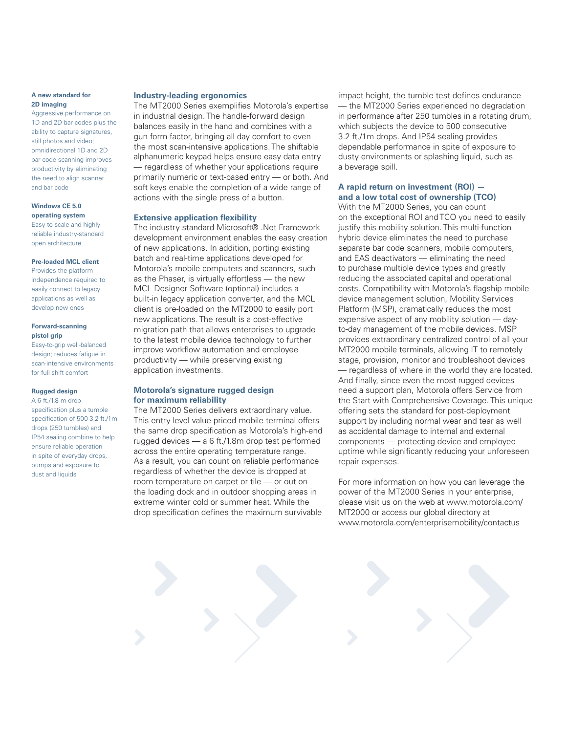#### **A new standard for 2D imaging**

Aggressive performance on 1D and 2D bar codes plus the ability to capture signatures, still photos and video; omnidirectional 1D and 2D bar code scanning improves productivity by eliminating the need to align scanner and bar code

#### **Windows CE 5.0 operating system**

Easy to scale and highly reliable industry-standard open architecture

#### **Pre-loaded MCL client**

Provides the platform independence required to easily connect to legacy applications as well as develop new ones

#### **Forward-scanning pistol grip**

Easy-to-grip well-balanced design; reduces fatigue in scan-intensive environments for full shift comfort

#### **Rugged design**

A 6 ft./1.8 m drop specification plus a tumble specification of 500 3.2 ft./1m drops (250 tumbles) and IP54 sealing combine to help ensure reliable operation in spite of everyday drops, bumps and exposure to dust and liquids

#### **Industry-leading ergonomics**

The MT2000 Series exemplifies Motorola's expertise in industrial design. The handle-forward design balances easily in the hand and combines with a gun form factor, bringing all day comfort to even the most scan-intensive applications. The shiftable alphanumeric keypad helps ensure easy data entry — regardless of whether your applications require primarily numeric or text-based entry — or both. And soft keys enable the completion of a wide range of actions with the single press of a button.

#### **Extensive application flexibility**

The industry standard Microsoft® .Net Framework development environment enables the easy creation of new applications. In addition, porting existing batch and real-time applications developed for Motorola's mobile computers and scanners, such as the Phaser, is virtually effortless — the new MCL Designer Software (optional) includes a built-in legacy application converter, and the MCL client is pre-loaded on the MT2000 to easily port new applications. The result is a cost-effective migration path that allows enterprises to upgrade to the latest mobile device technology to further improve workflow automation and employee productivity — while preserving existing application investments.

#### **Motorola's signature rugged design for maximum reliability**

The MT2000 Series delivers extraordinary value. This entry level value-priced mobile terminal offers the same drop specification as Motorola's high-end rugged devices — a 6 ft./1.8m drop test performed across the entire operating temperature range. As a result, you can count on reliable performance regardless of whether the device is dropped at room temperature on carpet or tile — or out on the loading dock and in outdoor shopping areas in extreme winter cold or summer heat. While the drop specification defines the maximum survivable impact height, the tumble test defines endurance — the MT2000 Series experienced no degradation in performance after 250 tumbles in a rotating drum, which subjects the device to 500 consecutive 3.2 ft./1m drops. And IP54 sealing provides dependable performance in spite of exposure to dusty environments or splashing liquid, such as a beverage spill.

# **A rapid return on investment (ROI) and a low total cost of ownership (TCO)**

With the MT2000 Series, you can count on the exceptional ROI and TCO you need to easily justify this mobility solution. This multi-function hybrid device eliminates the need to purchase separate bar code scanners, mobile computers, and EAS deactivators — eliminating the need to purchase multiple device types and greatly reducing the associated capital and operational costs. Compatibility with Motorola's flagship mobile device management solution, Mobility Services Platform (MSP), dramatically reduces the most expensive aspect of any mobility solution — dayto-day management of the mobile devices. MSP provides extraordinary centralized control of all your MT2000 mobile terminals, allowing IT to remotely stage, provision, monitor and troubleshoot devices — regardless of where in the world they are located. And finally, since even the most rugged devices need a support plan, Motorola offers Service from the Start with Comprehensive Coverage. This unique offering sets the standard for post-deployment support by including normal wear and tear as well as accidental damage to internal and external components — protecting device and employee uptime while significantly reducing your unforeseen repair expenses.

For more information on how you can leverage the power of the MT2000 Series in your enterprise, please visit us on the web at www.motorola.com/ MT2000 or access our global directory at www.motorola.com/enterprisemobility/contactus

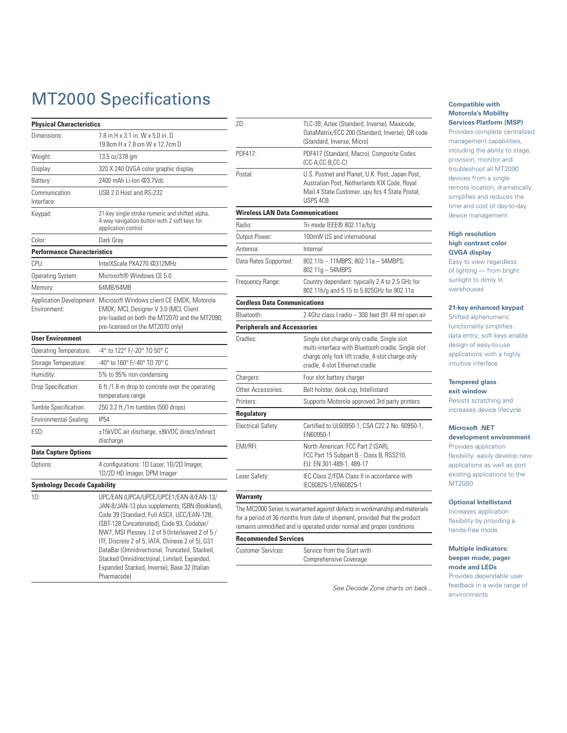# MT2000 Specifications

| <b>Physical Characteristics</b>                |                                                                                                                                                                                                                                                                                                                                                                                                                                                              |  |  |
|------------------------------------------------|--------------------------------------------------------------------------------------------------------------------------------------------------------------------------------------------------------------------------------------------------------------------------------------------------------------------------------------------------------------------------------------------------------------------------------------------------------------|--|--|
| Dimensions:                                    | 7.8 in H x 3.1 in, W x 5.0 in, D                                                                                                                                                                                                                                                                                                                                                                                                                             |  |  |
|                                                | 19.8cm H x 7.8 cm W x 12.7cm D                                                                                                                                                                                                                                                                                                                                                                                                                               |  |  |
| Weight:                                        | 13.5 oz/378 gm                                                                                                                                                                                                                                                                                                                                                                                                                                               |  |  |
| Display:                                       | 320 X 240 QVGA color graphic display                                                                                                                                                                                                                                                                                                                                                                                                                         |  |  |
| Battery:                                       | 2400 mAh Li-Ion @3.7Vdc                                                                                                                                                                                                                                                                                                                                                                                                                                      |  |  |
| Communication<br>Interface:                    | USB 2.0 Host and RS-232                                                                                                                                                                                                                                                                                                                                                                                                                                      |  |  |
| Keypad:                                        | 21-key single stroke numeric and shifted alpha,<br>4-way navigation button with 2 soft keys for<br>application control                                                                                                                                                                                                                                                                                                                                       |  |  |
| Color:                                         | Dark Gray                                                                                                                                                                                                                                                                                                                                                                                                                                                    |  |  |
| <b>Performance Characteristics</b>             |                                                                                                                                                                                                                                                                                                                                                                                                                                                              |  |  |
| CPI:                                           | IntelXScale PXA270 @312MHz                                                                                                                                                                                                                                                                                                                                                                                                                                   |  |  |
| Operating System:                              | Microsoft® Windows CE 5.0                                                                                                                                                                                                                                                                                                                                                                                                                                    |  |  |
| Memory:                                        | 64MB/64MB                                                                                                                                                                                                                                                                                                                                                                                                                                                    |  |  |
| <b>Application Development</b><br>Environment: | Microsoft Windows client CE EMDK: Motorola<br>EMDK; MCL Designer V 3.0 (MCL Client<br>pre-loaded on both the MT2070 and the MT2090;<br>pre-licensed on the MT2070 only)                                                                                                                                                                                                                                                                                      |  |  |
| <b>User Environment</b>                        |                                                                                                                                                                                                                                                                                                                                                                                                                                                              |  |  |
| <b>Operating Temperature:</b>                  | -4° to 122° F/-20° TO 50° C                                                                                                                                                                                                                                                                                                                                                                                                                                  |  |  |
| Storage Temperature:                           | -40° to 160° F/-40° TO 70° C                                                                                                                                                                                                                                                                                                                                                                                                                                 |  |  |
| Humidity:                                      | 5% to 95% non-condensing                                                                                                                                                                                                                                                                                                                                                                                                                                     |  |  |
| Drop Specification:                            | 6 ft./1.8 m drop to concrete over the operating<br>temperature range                                                                                                                                                                                                                                                                                                                                                                                         |  |  |
| Tumble Specification:                          | 250 3.2 ft./1m tumbles (500 drops)                                                                                                                                                                                                                                                                                                                                                                                                                           |  |  |
| Environmental Sealing:                         | <b>IP54</b>                                                                                                                                                                                                                                                                                                                                                                                                                                                  |  |  |
| ESD:                                           | ±15kVDC air discharge, ±8kVDC direct/indirect<br>discharge                                                                                                                                                                                                                                                                                                                                                                                                   |  |  |
| <b>Data Capture Options</b>                    |                                                                                                                                                                                                                                                                                                                                                                                                                                                              |  |  |
| Options:                                       | 4 configurations: 1D Laser, 1D/2D Imager,<br>1D/2D HD Imager, DPM Imager                                                                                                                                                                                                                                                                                                                                                                                     |  |  |
| <b>Symbology Decode Capability</b>             |                                                                                                                                                                                                                                                                                                                                                                                                                                                              |  |  |
| 1D:                                            | UPC/EAN (UPCA/UPCE/UPCE1/EAN-8/EAN-13/<br>JAN-8/JAN-13 plus supplements, ISBN (Bookland),<br>Code 39 (Standard, Full ASCII, UCC/EAN-128,<br>ISBT-128 Concatenated), Code 93, Codabar/<br>NW7, MSI Plessey, I 2 of 5 (Interleaved 2 of 5 /<br>ITF, Discrete 2 of 5, IATA, Chinese 2 of 5), GS1<br>DataBar (Omnidirectional, Truncated, Stacked,<br>Stacked Omnidirectional, Limited, Expanded,<br>Expanded Stacked, Inverse), Base 32 (Italian<br>Pharmacode) |  |  |

| 2D:                                     | TLC-39, Aztec (Standard, Inverse), Maxicode,<br>DataMatrix/ECC 200 (Standard, Inverse), QR code<br>(Standard, Inverse, Micro)                                                           |  |
|-----------------------------------------|-----------------------------------------------------------------------------------------------------------------------------------------------------------------------------------------|--|
| PDF417:                                 | PDF417 (Standard, Macro), Composite Codes<br>(CC-A,CC-B,CC-C)                                                                                                                           |  |
| Postal:                                 | U.S. Postnet and Planet, U.K. Post, Japan Post,<br>Australian Post, Netherlands KIX Code, Royal<br>Mail 4 State Customer, upu fics 4 State Postal,<br>USPS 4CB                          |  |
| <b>Wireless LAN Data Communications</b> |                                                                                                                                                                                         |  |
| Radio:                                  | Tri-mode IEEE® 802.11a/b/g                                                                                                                                                              |  |
| Output Power:                           | 100mW US and international                                                                                                                                                              |  |
| Antenna:                                | Internal                                                                                                                                                                                |  |
| Data Rates Supported:                   | 802.11b - 11MBPS; 802.11a - 54MBPS;<br>802.11g - 54MBPS                                                                                                                                 |  |
| Frequency Range:                        | Country dependant: typically 2.4 to 2.5 GHz for<br>802.11b/g and 5.15 to 5.825GHz for 802.11a                                                                                           |  |
| <b>Cordless Data Communications</b>     |                                                                                                                                                                                         |  |
| Bluetooth:                              | 2.4Ghz class I radio - 300 feet (91.44 m) open air                                                                                                                                      |  |
| <b>Peripherals and Accessories</b>      |                                                                                                                                                                                         |  |
| Cradles:                                | Single slot charge only cradle, Single slot<br>multi-interface with Bluetooth cradle, Single slot<br>charge only fork lift cradle, 4-slot charge only<br>cradle, 4-slot Ethernet cradle |  |
| Chargers:                               | Four slot battery charger                                                                                                                                                               |  |
| Other Accessories:                      | Belt holster, desk cup, Intellistand                                                                                                                                                    |  |
| Printers:                               | Supports Motorola approved 3rd party printers                                                                                                                                           |  |
| Regulatory                              |                                                                                                                                                                                         |  |
| Electrical Safety:                      | Certified to UL60950-1, CSA C22.2 No. 60950-1,<br>EN60950-1                                                                                                                             |  |
| EMI/RFI:                                | North American: FCC Part 2 (SAR),<br>FCC Part 15 Subpart B - Class B, RSS210,<br>EU: EN 301-489-1, 489-17                                                                               |  |
| Laser Safety:                           | IEC Class 2/FDA Class II in accordance with<br>IEC60825-1/EN60825-1                                                                                                                     |  |
| Warranty                                |                                                                                                                                                                                         |  |

The MC2000 Series is warranted against defects in workmanship and materials for a period of 36 months from date of shipment, provided that the product remains unmodified and is operated under normal and proper conditions

Comprehensive Coverage

## **Recommended Services**

Customer Services: Service from the Start with

See Decode Zone charts on back...

#### **Compatible with Motorola's Mobility Services Platform (MSP)**

Provides complete centralized management capabilities, including the ability to stage, provision, monitor and troubleshoot all MT2090 devices from a single remote location; dramatically simplifies and reduces the time and cost of day-to-day device management

#### **High resolution high contrast color QVGA display**

Easy to view regardless of lighting — from bright sunlight to dimly lit warehouses

#### **21-key enhanced keypad**

Shifted alphanumeric functionality simplifies data entry; soft keys enable design of easy-to-use applications with a highly intuitive interface

# **Tempered glass**

**exit window** Resists scratching and increases device lifecycle

#### **Microsoft .NET**

**development environment** Provides application flexibility: easily develop new applications as well as port existing applications to the MT2000

#### **Optional Intellistand**

Increases application flexibility by providing a hands-free mode

#### **Multiple indicators: beeper mode, pager mode and LEDs**

Provides dependable user feedback in a wide range of environments